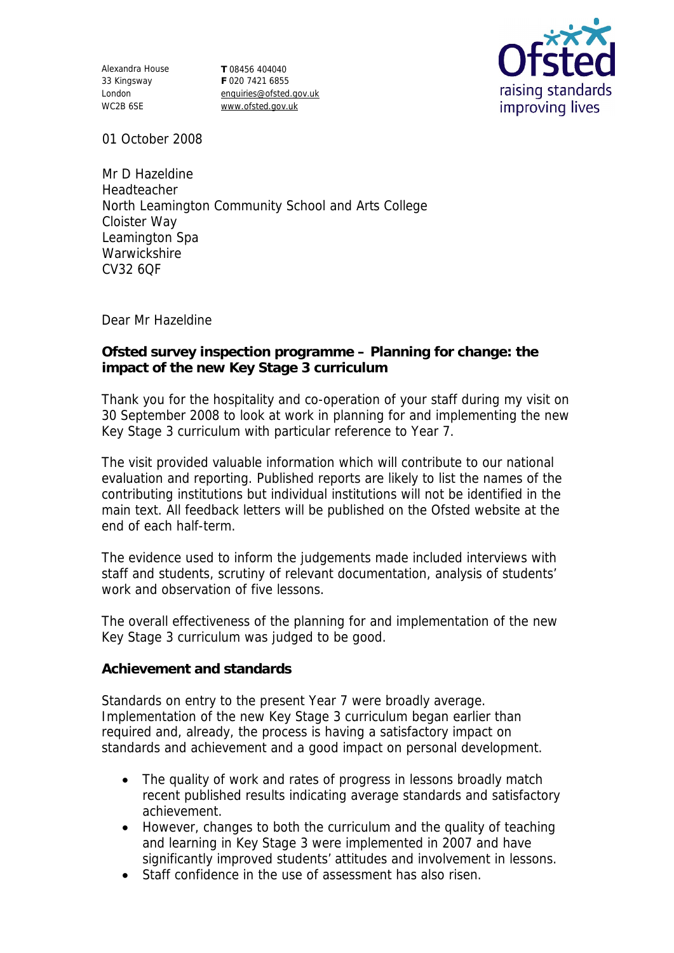Alexandra House 33 Kingsway London WC2B 6SE

**T** 08456 404040 **F** 020 7421 6855 enquiries@ofsted.gov.uk www.ofsted.gov.uk



01 October 2008

Mr D Hazeldine Headteacher North Leamington Community School and Arts College Cloister Way Leamington Spa **Warwickshire** CV32 6QF

Dear Mr Hazeldine

**Ofsted survey inspection programme – Planning for change: the impact of the new Key Stage 3 curriculum**

Thank you for the hospitality and co-operation of your staff during my visit on 30 September 2008 to look at work in planning for and implementing the new Key Stage 3 curriculum with particular reference to Year 7.

The visit provided valuable information which will contribute to our national evaluation and reporting. Published reports are likely to list the names of the contributing institutions but individual institutions will not be identified in the main text. All feedback letters will be published on the Ofsted website at the end of each half-term.

The evidence used to inform the judgements made included interviews with staff and students, scrutiny of relevant documentation, analysis of students' work and observation of five lessons.

The overall effectiveness of the planning for and implementation of the new Key Stage 3 curriculum was judged to be good.

**Achievement and standards** 

Standards on entry to the present Year 7 were broadly average. Implementation of the new Key Stage 3 curriculum began earlier than required and, already, the process is having a satisfactory impact on standards and achievement and a good impact on personal development.

- The quality of work and rates of progress in lessons broadly match recent published results indicating average standards and satisfactory achievement.
- However, changes to both the curriculum and the quality of teaching and learning in Key Stage 3 were implemented in 2007 and have significantly improved students' attitudes and involvement in lessons.
- Staff confidence in the use of assessment has also risen.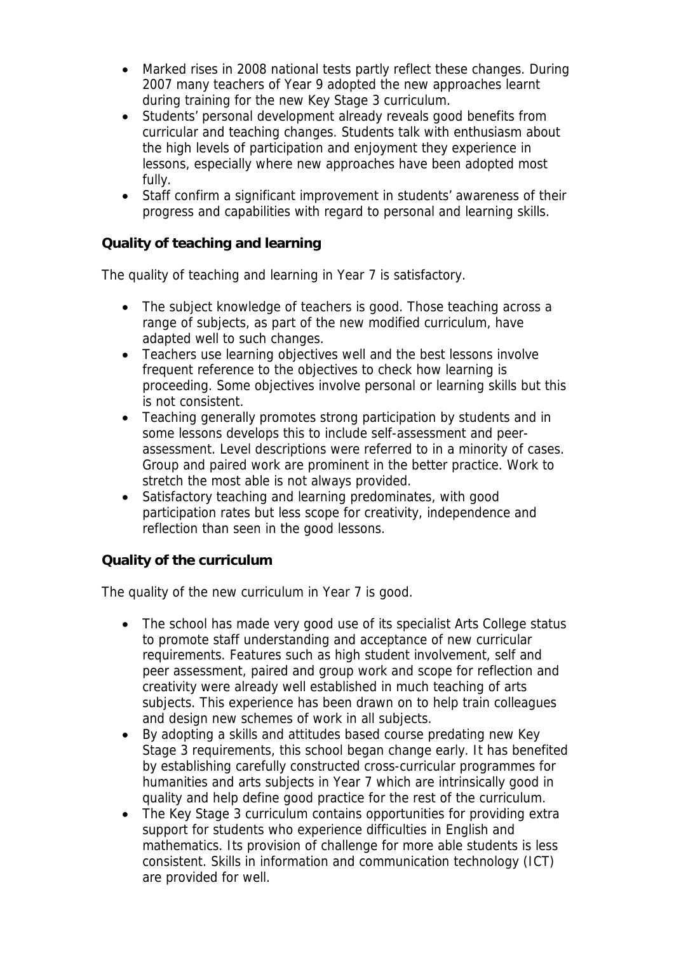- Marked rises in 2008 national tests partly reflect these changes. During 2007 many teachers of Year 9 adopted the new approaches learnt during training for the new Key Stage 3 curriculum.
- Students' personal development already reveals good benefits from curricular and teaching changes. Students talk with enthusiasm about the high levels of participation and enjoyment they experience in lessons, especially where new approaches have been adopted most fully.
- Staff confirm a significant improvement in students' awareness of their progress and capabilities with regard to personal and learning skills.

**Quality of teaching and learning**

The quality of teaching and learning in Year 7 is satisfactory.

- The subject knowledge of teachers is good. Those teaching across a range of subjects, as part of the new modified curriculum, have adapted well to such changes.
- Teachers use learning objectives well and the best lessons involve frequent reference to the objectives to check how learning is proceeding. Some objectives involve personal or learning skills but this is not consistent.
- Teaching generally promotes strong participation by students and in some lessons develops this to include self-assessment and peerassessment. Level descriptions were referred to in a minority of cases. Group and paired work are prominent in the better practice. Work to stretch the most able is not always provided.
- Satisfactory teaching and learning predominates, with good participation rates but less scope for creativity, independence and reflection than seen in the good lessons.

## **Quality of the curriculum**

The quality of the new curriculum in Year 7 is good.

- The school has made very good use of its specialist Arts College status to promote staff understanding and acceptance of new curricular requirements. Features such as high student involvement, self and peer assessment, paired and group work and scope for reflection and creativity were already well established in much teaching of arts subjects. This experience has been drawn on to help train colleagues and design new schemes of work in all subjects.
- By adopting a skills and attitudes based course predating new Key Stage 3 requirements, this school began change early. It has benefited by establishing carefully constructed cross-curricular programmes for humanities and arts subjects in Year 7 which are intrinsically good in quality and help define good practice for the rest of the curriculum.
- The Key Stage 3 curriculum contains opportunities for providing extra support for students who experience difficulties in English and mathematics. Its provision of challenge for more able students is less consistent. Skills in information and communication technology (ICT) are provided for well.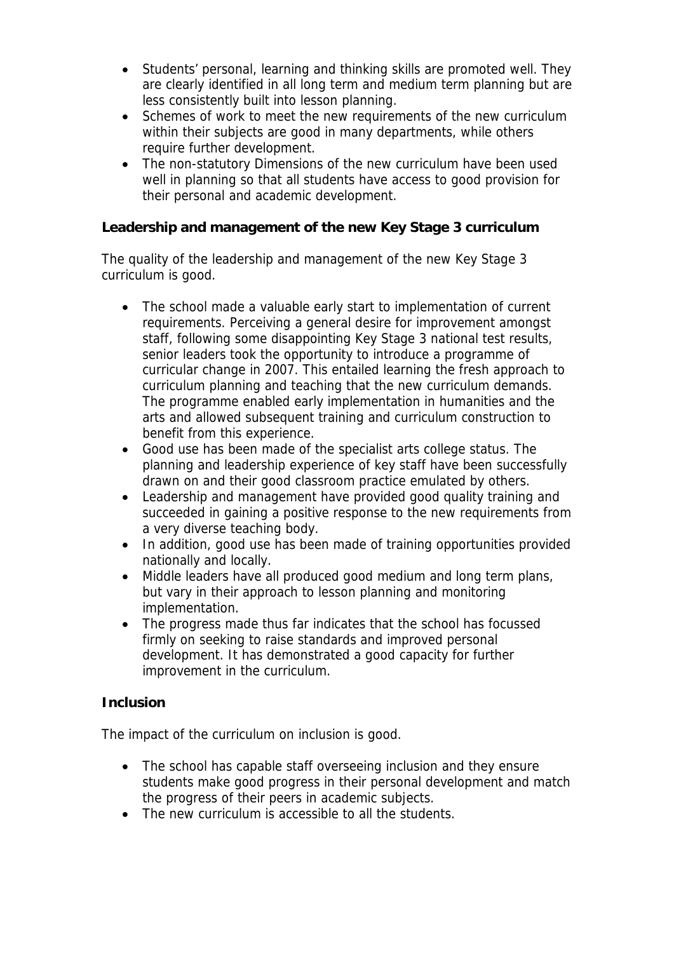- Students' personal, learning and thinking skills are promoted well. They are clearly identified in all long term and medium term planning but are less consistently built into lesson planning.
- Schemes of work to meet the new requirements of the new curriculum within their subjects are good in many departments, while others require further development.
- The non-statutory Dimensions of the new curriculum have been used well in planning so that all students have access to good provision for their personal and academic development.

**Leadership and management of the new Key Stage 3 curriculum**

The quality of the leadership and management of the new Key Stage 3 curriculum is good.

- The school made a valuable early start to implementation of current requirements. Perceiving a general desire for improvement amongst staff, following some disappointing Key Stage 3 national test results, senior leaders took the opportunity to introduce a programme of curricular change in 2007. This entailed learning the fresh approach to curriculum planning and teaching that the new curriculum demands. The programme enabled early implementation in humanities and the arts and allowed subsequent training and curriculum construction to benefit from this experience.
- Good use has been made of the specialist arts college status. The planning and leadership experience of key staff have been successfully drawn on and their good classroom practice emulated by others.
- Leadership and management have provided good quality training and succeeded in gaining a positive response to the new requirements from a very diverse teaching body.
- In addition, good use has been made of training opportunities provided nationally and locally.
- Middle leaders have all produced good medium and long term plans, but vary in their approach to lesson planning and monitoring implementation.
- The progress made thus far indicates that the school has focussed firmly on seeking to raise standards and improved personal development. It has demonstrated a good capacity for further improvement in the curriculum.

## **Inclusion**

The impact of the curriculum on inclusion is good.

- The school has capable staff overseeing inclusion and they ensure students make good progress in their personal development and match the progress of their peers in academic subjects.
- The new curriculum is accessible to all the students.